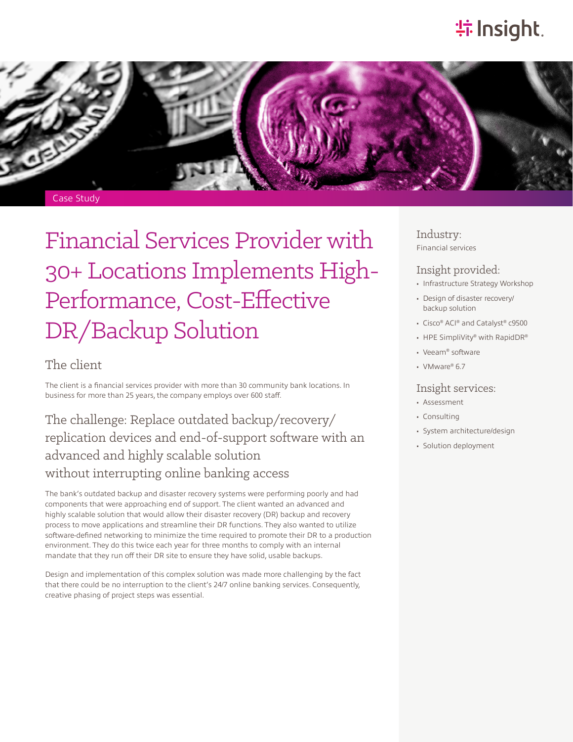# **特Insight**.



# Financial Services Provider with 30+ Locations Implements High-Performance, Cost-Effective DR/Backup Solution

### The client

The client is a financial services provider with more than 30 community bank locations. In business for more than 25 years, the company employs over 600 staff.

## The challenge: Replace outdated backup/recovery/ replication devices and end-of-support software with an advanced and highly scalable solution without interrupting online banking access

The bank's outdated backup and disaster recovery systems were performing poorly and had components that were approaching end of support. The client wanted an advanced and highly scalable solution that would allow their disaster recovery (DR) backup and recovery process to move applications and streamline their DR functions. They also wanted to utilize software-defined networking to minimize the time required to promote their DR to a production environment. They do this twice each year for three months to comply with an internal mandate that they run off their DR site to ensure they have solid, usable backups.

Design and implementation of this complex solution was made more challenging by the fact that there could be no interruption to the client's 24/7 online banking services. Consequently, creative phasing of project steps was essential.

Industry: Financial services

#### Insight provided:

- Infrastructure Strategy Workshop
- Design of disaster recovery/ backup solution
- Cisco® ACI® and Catalyst® c9500
- HPE SimpliVity® with RapidDR®
- Veeam® software
- VMware® 6.7

#### Insight services:

- Assessment
- Consulting
- System architecture/design
- Solution deployment